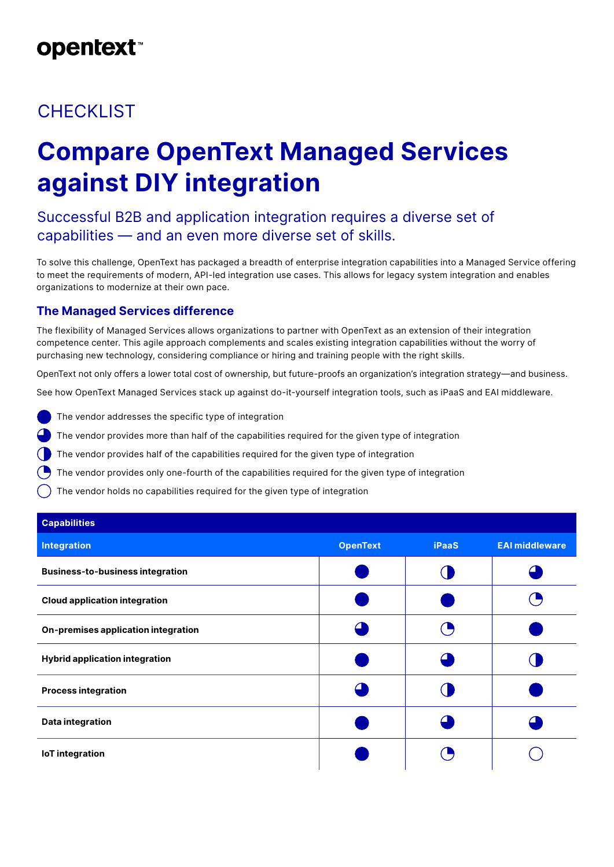# **opentext**

### **CHECKLIST**

# **Compare OpenText Managed Services against DIY integration**

### Successful B2B and application integration requires a diverse set of capabilities — and an even more diverse set of skills.

To solve this challenge, OpenText has packaged a breadth of enterprise integration capabilities into a Managed Service offering to meet the requirements of modern, API-led integration use cases. This allows for legacy system integration and enables organizations to modernize at their own pace.

#### **The Managed Services difference**

The flexibility of Managed Services allows organizations to partner with OpenText as an extension of their integration competence center. This agile approach complements and scales existing integration capabilities without the worry of purchasing new technology, considering compliance or hiring and training people with the right skills.

OpenText not only offers a lower total cost of ownership, but future-proofs an organization's integration strategy—and business.

See how OpenText Managed Services stack up against do-it-yourself integration tools, such as iPaaS and EAI middleware.

- The vendor addresses the specific type of integration
- The vendor provides more than half of the capabilities required for the given type of integration
- The vendor provides half of the capabilities required for the given type of integration
- The vendor provides only one-fourth of the capabilities required for the given type of integration
- The vendor holds no capabilities required for the given type of integration

| <b>Capabilities</b>                     |                 |              |                       |
|-----------------------------------------|-----------------|--------------|-----------------------|
| <b>Integration</b>                      | <b>OpenText</b> | <b>iPaaS</b> | <b>EAI middleware</b> |
| <b>Business-to-business integration</b> |                 |              |                       |
| <b>Cloud application integration</b>    |                 |              |                       |
| On-premises application integration     |                 |              |                       |
| <b>Hybrid application integration</b>   |                 |              |                       |
| <b>Process integration</b>              |                 |              |                       |
| Data integration                        |                 |              |                       |
| <b>IoT</b> integration                  |                 |              |                       |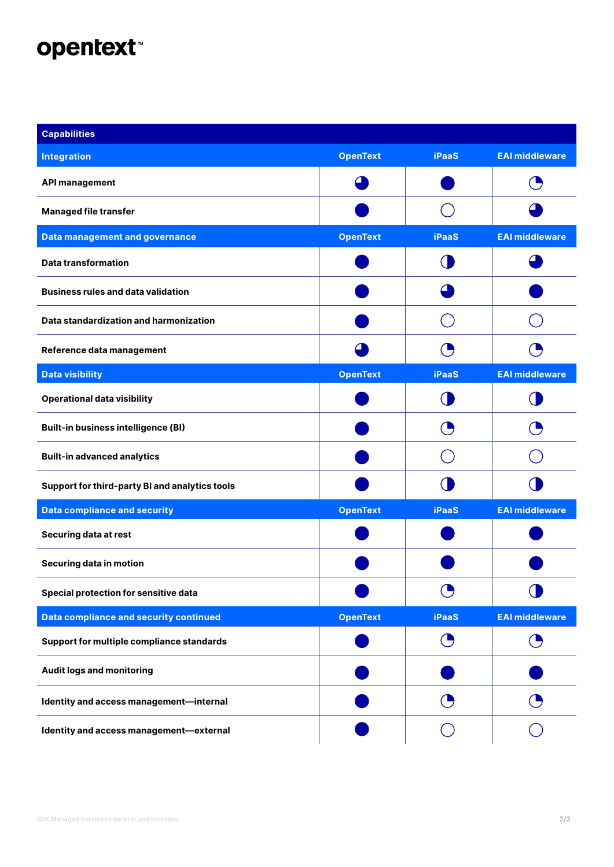# opentext<sup>\*</sup>

| <b>Capabilities</b>                            |                 |              |                       |
|------------------------------------------------|-----------------|--------------|-----------------------|
| <b>Integration</b>                             | <b>OpenText</b> | <b>iPaaS</b> | <b>EAI middleware</b> |
| <b>API management</b>                          |                 |              |                       |
| <b>Managed file transfer</b>                   |                 |              |                       |
| <b>Data management and governance</b>          | <b>OpenText</b> | <b>iPaaS</b> | <b>EAI middleware</b> |
| <b>Data transformation</b>                     |                 |              |                       |
| <b>Business rules and data validation</b>      |                 |              |                       |
| Data standardization and harmonization         |                 |              |                       |
| Reference data management                      |                 |              |                       |
| <b>Data visibility</b>                         | <b>OpenText</b> | <b>iPaaS</b> | <b>EAI middleware</b> |
| <b>Operational data visibility</b>             |                 |              |                       |
| <b>Built-in business intelligence (BI)</b>     |                 |              |                       |
| <b>Built-in advanced analytics</b>             |                 |              |                       |
| Support for third-party BI and analytics tools |                 |              |                       |
| <b>Data compliance and security</b>            | <b>OpenText</b> | <b>iPaaS</b> | <b>EAI middleware</b> |
| Securing data at rest                          |                 |              |                       |
| Securing data in motion                        |                 |              |                       |
| Special protection for sensitive data          |                 | O            |                       |
| <b>Data compliance and security continued</b>  | <b>OpenText</b> | <b>iPaaS</b> | <b>EAI middleware</b> |
| Support for multiple compliance standards      |                 | O            |                       |
| <b>Audit logs and monitoring</b>               |                 |              |                       |
| Identity and access management-internal        |                 |              |                       |
| Identity and access management-external        |                 |              |                       |